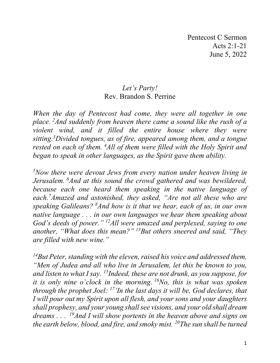## *Let's Party!* Rev. Brandon S. Perrine

*When the day of Pentecost had come, they were all together in one place. 2 And suddenly from heaven there came a sound like the rush of a violent wind, and it filled the entire house where they were sitting.3 Divided tongues, as of fire, appeared among them, and a tongue*  rested on each of them. <sup>4</sup>All of them were filled with the Holy Spirit and *began to speak in other languages, as the Spirit gave them ability.*

*5 Now there were devout Jews from every nation under heaven living in Jerusalem. 6 And at this sound the crowd gathered and was bewildered, because each one heard them speaking in the native language of each.7 Amazed and astonished, they asked, "Are not all these who are speaking Galileans? <sup>8</sup> And how is it that we hear, each of us, in our own native language . . . in our own languages we hear them speaking about God's deeds of power." 12All were amazed and perplexed, saying to one another, "What does this mean?" 13But others sneered and said, "They are filled with new wine."*

*14But Peter, standing with the eleven, raised his voice and addressed them, "Men of Judea and all who live in Jerusalem, let this be known to you, and listen to what I say. 15Indeed, these are not drunk, as you suppose, for it is only nine o'clock in the morning. 16No, this is what was spoken through the prophet Joel: 17'In the last days it will be, God declares, that I will pour out my Spirit upon all flesh, and your sons and your daughters shall prophesy, and your young shall see visions, and your old shall dream dreams . . . 19And I will show portents in the heaven above and signs on the earth below, blood, and fire, and smoky mist. 20The sun shall be turned*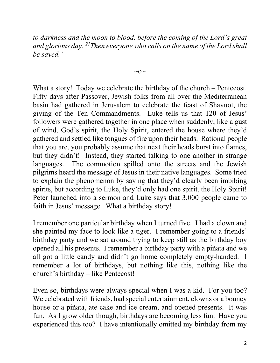*to darkness and the moon to blood, before the coming of the Lord's great and glorious day. 21Then everyone who calls on the name of the Lord shall be saved.'*

 $\sim$ O $\sim$ 

What a story! Today we celebrate the birthday of the church – Pentecost. Fifty days after Passover, Jewish folks from all over the Mediterranean basin had gathered in Jerusalem to celebrate the feast of Shavuot, the giving of the Ten Commandments. Luke tells us that 120 of Jesus' followers were gathered together in one place when suddenly, like a gust of wind, God's spirit, the Holy Spirit, entered the house where they'd gathered and settled like tongues of fire upon their heads. Rational people that you are, you probably assume that next their heads burst into flames, but they didn't! Instead, they started talking to one another in strange languages. The commotion spilled onto the streets and the Jewish pilgrims heard the message of Jesus in their native languages. Some tried to explain the phenomenon by saying that they'd clearly been imbibing spirits, but according to Luke, they'd only had one spirit, the Holy Spirit! Peter launched into a sermon and Luke says that 3,000 people came to faith in Jesus' message. What a birthday story!

I remember one particular birthday when I turned five. I had a clown and she painted my face to look like a tiger. I remember going to a friends' birthday party and we sat around trying to keep still as the birthday boy opened all his presents. I remember a birthday party with a piñata and we all got a little candy and didn't go home completely empty-handed. I remember a lot of birthdays, but nothing like this, nothing like the church's birthday – like Pentecost!

Even so, birthdays were always special when I was a kid. For you too? We celebrated with friends, had special entertainment, clowns or a bouncy house or a piñata, ate cake and ice cream, and opened presents. It was fun. As I grow older though, birthdays are becoming less fun. Have you experienced this too? I have intentionally omitted my birthday from my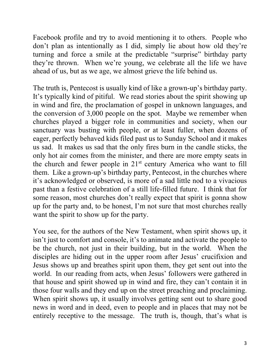Facebook profile and try to avoid mentioning it to others. People who don't plan as intentionally as I did, simply lie about how old they're turning and force a smile at the predictable "surprise" birthday party they're thrown. When we're young, we celebrate all the life we have ahead of us, but as we age, we almost grieve the life behind us.

The truth is, Pentecost is usually kind of like a grown-up's birthday party. It's typically kind of pitiful. We read stories about the spirit showing up in wind and fire, the proclamation of gospel in unknown languages, and the conversion of 3,000 people on the spot. Maybe we remember when churches played a bigger role in communities and society, when our sanctuary was busting with people, or at least fuller, when dozens of eager, perfectly behaved kids filed past us to Sunday School and it makes us sad. It makes us sad that the only fires burn in the candle sticks, the only hot air comes from the minister, and there are more empty seats in the church and fewer people in  $21<sup>st</sup>$  century America who want to fill them. Like a grown-up's birthday party, Pentecost, in the churches where it's acknowledged or observed, is more of a sad little nod to a vivacious past than a festive celebration of a still life-filled future. I think that for some reason, most churches don't really expect that spirit is gonna show up for the party and, to be honest, I'm not sure that most churches really want the spirit to show up for the party.

You see, for the authors of the New Testament, when spirit shows up, it isn't just to comfort and console, it's to animate and activate the people to be the church, not just in their building, but in the world. When the disciples are hiding out in the upper room after Jesus' crucifixion and Jesus shows up and breathes spirit upon them, they get sent out into the world. In our reading from acts, when Jesus' followers were gathered in that house and spirit showed up in wind and fire, they can't contain it in those four walls and they end up on the street preaching and proclaiming. When spirit shows up, it usually involves getting sent out to share good news in word and in deed, even to people and in places that may not be entirely receptive to the message. The truth is, though, that's what is